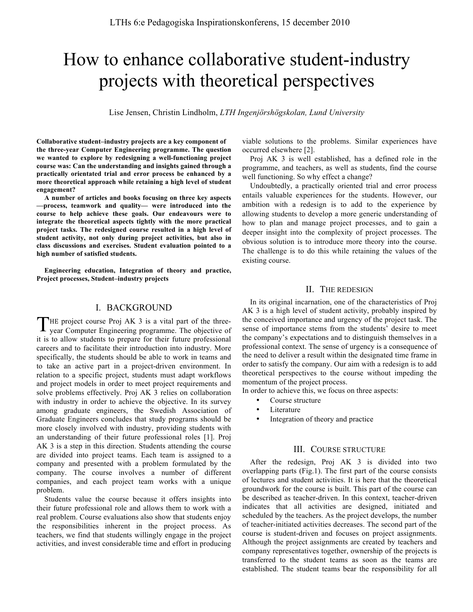# How to enhance collaborative student-industry projects with theoretical perspectives

Lise Jensen, Christin Lindholm, *LTH Ingenjörshögskolan, Lund University* 

**Collaborative student–industry projects are a key component of the three-year Computer Engineering programme. The question we wanted to explore by redesigning a well-functioning project course was: Can the understanding and insights gained through a practically orientated trial and error process be enhanced by a more theoretical approach while retaining a high level of student engagement?** 

**A number of articles and books focusing on three key aspects —process, teamwork and quality— were introduced into the course to help achieve these goals. Our endeavours were to integrate the theoretical aspects tightly with the more practical project tasks. The redesigned course resulted in a high level of student activity, not only during project activities, but also in class discussions and exercises. Student evaluation pointed to a high number of satisfied students.**

**Engineering education, Integration of theory and practice, Project processes, Student–industry projects**

## I. BACKGROUND

THE project course Proj AK 3 is a vital part of the three-<br>year Computer Engineering programme. The objective of year Computer Engineering programme. The objective of it is to allow students to prepare for their future professional careers and to facilitate their introduction into industry. More specifically, the students should be able to work in teams and to take an active part in a project-driven environment. In relation to a specific project, students must adapt workflows and project models in order to meet project requirements and solve problems effectively. Proj AK 3 relies on collaboration with industry in order to achieve the objective. In its survey among graduate engineers, the Swedish Association of Graduate Engineers concludes that study programs should be more closely involved with industry, providing students with an understanding of their future professional roles [1]. Proj AK 3 is a step in this direction. Students attending the course are divided into project teams. Each team is assigned to a company and presented with a problem formulated by the company. The course involves a number of different companies, and each project team works with a unique problem.

Students value the course because it offers insights into their future professional role and allows them to work with a real problem. Course evaluations also show that students enjoy the responsibilities inherent in the project process. As teachers, we find that students willingly engage in the project activities, and invest considerable time and effort in producing

viable solutions to the problems. Similar experiences have occurred elsewhere [2].

Proj AK 3 is well established, has a defined role in the programme, and teachers, as well as students, find the course well functioning. So why effect a change?

Undoubtedly, a practically oriented trial and error process entails valuable experiences for the students. However, our ambition with a redesign is to add to the experience by allowing students to develop a more generic understanding of how to plan and manage project processes, and to gain a deeper insight into the complexity of project processes. The obvious solution is to introduce more theory into the course. The challenge is to do this while retaining the values of the existing course.

# II. THE REDESIGN

In its original incarnation, one of the characteristics of Proj AK 3 is a high level of student activity, probably inspired by the conceived importance and urgency of the project task. The sense of importance stems from the students' desire to meet the company's expectations and to distinguish themselves in a professional context. The sense of urgency is a consequence of the need to deliver a result within the designated time frame in order to satisfy the company. Our aim with a redesign is to add theoretical perspectives to the course without impeding the momentum of the project process.

In order to achieve this, we focus on three aspects:

- Course structure
- **Literature**
- Integration of theory and practice

## III. COURSE STRUCTURE

After the redesign, Proj AK 3 is divided into two overlapping parts (Fig.1). The first part of the course consists of lectures and student activities. It is here that the theoretical groundwork for the course is built. This part of the course can be described as teacher-driven. In this context, teacher-driven indicates that all activities are designed, initiated and scheduled by the teachers. As the project develops, the number of teacher-initiated activities decreases. The second part of the course is student-driven and focuses on project assignments. Although the project assignments are created by teachers and company representatives together, ownership of the projects is transferred to the student teams as soon as the teams are established. The student teams bear the responsibility for all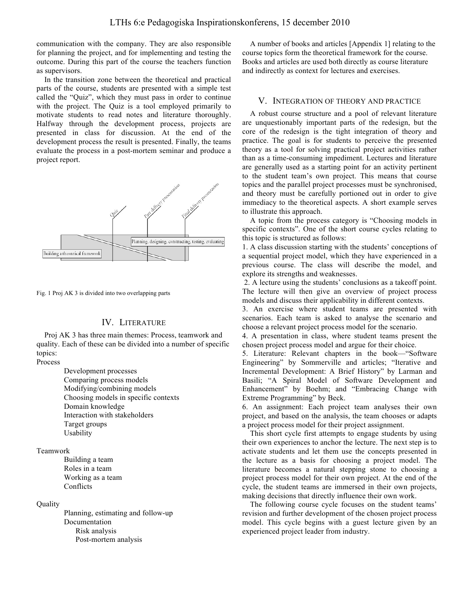communication with the company. They are also responsible for planning the project, and for implementing and testing the outcome. During this part of the course the teachers function as supervisors.

In the transition zone between the theoretical and practical parts of the course, students are presented with a simple test called the "Quiz", which they must pass in order to continue with the project. The Quiz is a tool employed primarily to motivate students to read notes and literature thoroughly. Halfway through the development process, projects are presented in class for discussion. At the end of the development process the result is presented. Finally, the teams evaluate the process in a post-mortem seminar and produce a project report.





## IV. LITERATURE

Proj AK 3 has three main themes: Process, teamwork and quality. Each of these can be divided into a number of specific topics:

Process

Development processes Comparing process models Modifying/combining models Choosing models in specific contexts Domain knowledge Interaction with stakeholders Target groups Usability

## Teamwork

Building a team Roles in a team Working as a team Conflicts

#### **Quality**

Planning, estimating and follow-up Documentation Risk analysis Post-mortem analysis

A number of books and articles [Appendix 1] relating to the course topics form the theoretical framework for the course. Books and articles are used both directly as course literature and indirectly as context for lectures and exercises.

#### V. INTEGRATION OF THEORY AND PRACTICE

A robust course structure and a pool of relevant literature are unquestionably important parts of the redesign, but the core of the redesign is the tight integration of theory and practice. The goal is for students to perceive the presented theory as a tool for solving practical project activities rather than as a time-consuming impediment. Lectures and literature are generally used as a starting point for an activity pertinent to the student team's own project. This means that course topics and the parallel project processes must be synchronised, and theory must be carefully portioned out in order to give immediacy to the theoretical aspects. A short example serves to illustrate this approach.

A topic from the process category is "Choosing models in specific contexts". One of the short course cycles relating to this topic is structured as follows:

1. A class discussion starting with the students' conceptions of a sequential project model, which they have experienced in a previous course. The class will describe the model, and explore its strengths and weaknesses.

2. A lecture using the students' conclusions as a takeoff point. The lecture will then give an overview of project process models and discuss their applicability in different contexts.

3. An exercise where student teams are presented with scenarios. Each team is asked to analyse the scenario and choose a relevant project process model for the scenario.

4. A presentation in class, where student teams present the chosen project process model and argue for their choice.

5. Literature: Relevant chapters in the book—"Software Engineering" by Sommerville and articles; "Iterative and Incremental Development: A Brief History" by Larman and Basili; "A Spiral Model of Software Development and Enhancement" by Boehm; and "Embracing Change with Extreme Programming" by Beck.

6. An assignment: Each project team analyses their own project, and based on the analysis, the team chooses or adapts a project process model for their project assignment.

This short cycle first attempts to engage students by using their own experiences to anchor the lecture. The next step is to activate students and let them use the concepts presented in the lecture as a basis for choosing a project model. The literature becomes a natural stepping stone to choosing a project process model for their own project. At the end of the cycle, the student teams are immersed in their own projects, making decisions that directly influence their own work.

The following course cycle focuses on the student teams' revision and further development of the chosen project process model. This cycle begins with a guest lecture given by an experienced project leader from industry.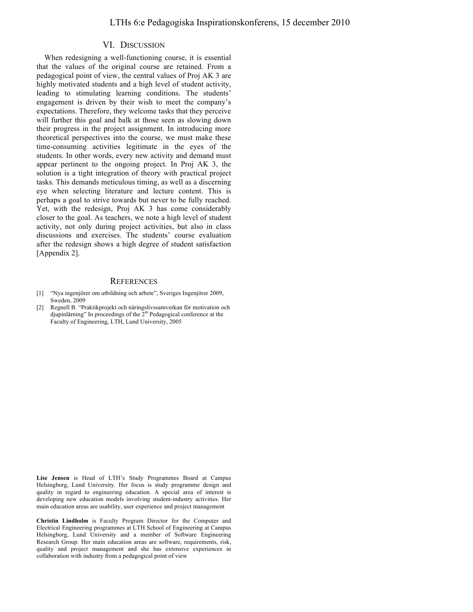### VI. DISCUSSION

When redesigning a well-functioning course, it is essential that the values of the original course are retained. From a pedagogical point of view, the central values of Proj AK 3 are highly motivated students and a high level of student activity, leading to stimulating learning conditions. The students' engagement is driven by their wish to meet the company's expectations. Therefore, they welcome tasks that they perceive will further this goal and balk at those seen as slowing down their progress in the project assignment. In introducing more theoretical perspectives into the course, we must make these time-consuming activities legitimate in the eyes of the students. In other words, every new activity and demand must appear pertinent to the ongoing project. In Proj AK 3, the solution is a tight integration of theory with practical project tasks. This demands meticulous timing, as well as a discerning eye when selecting literature and lecture content. This is perhaps a goal to strive towards but never to be fully reached. Yet, with the redesign, Proj AK 3 has come considerably closer to the goal. As teachers, we note a high level of student activity, not only during project activities, but also in class discussions and exercises. The students' course evaluation after the redesign shows a high degree of student satisfaction [Appendix 2].

#### **REFERENCES**

- [1] "Nya ingenjörer om utbildning och arbete", Sveriges Ingenjörer 2009, Sweden, 2009
- [2] Regnell B. "Praktikprojekt och näringslivssamverkan för motivation och djupinlärning" In proceedings of the  $2<sup>th</sup>$  Pedagogical conference at the Faculty of Engineering, LTH, Lund University, 2005

**Lise Jensen** is Head of LTH's Study Programmes Board at Campus Helsingborg, Lund University. Her focus is study programme design and quality in regard to engineering education. A special area of interest is developing new education models involving student-industry activities. Her main education areas are usability, user experience and project management

**Christin Lindholm** is Faculty Program Director for the Computer and Electrical Engineering programmes at LTH School of Engineering at Campus Helsingborg, Lund University and a member of Software Engineering Research Group. Her main education areas are software, requirements, risk, quality and project management and she has extensive experiences in collaboration with industry from a pedagogical point of view